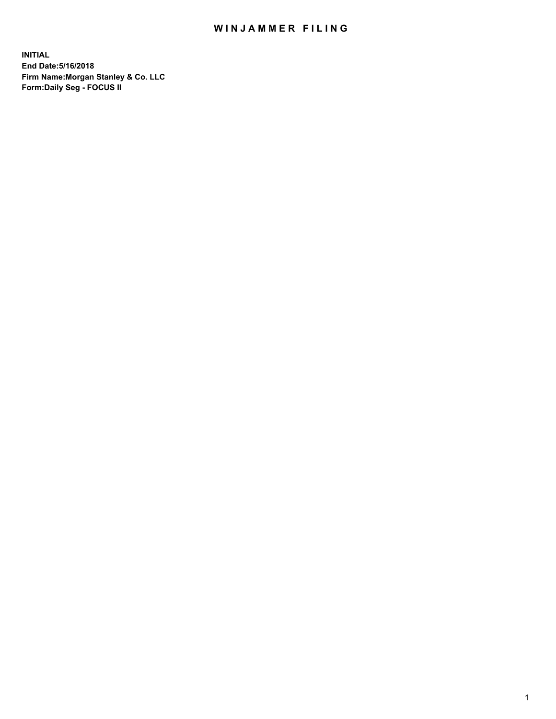## WIN JAMMER FILING

**INITIAL End Date:5/16/2018 Firm Name:Morgan Stanley & Co. LLC Form:Daily Seg - FOCUS II**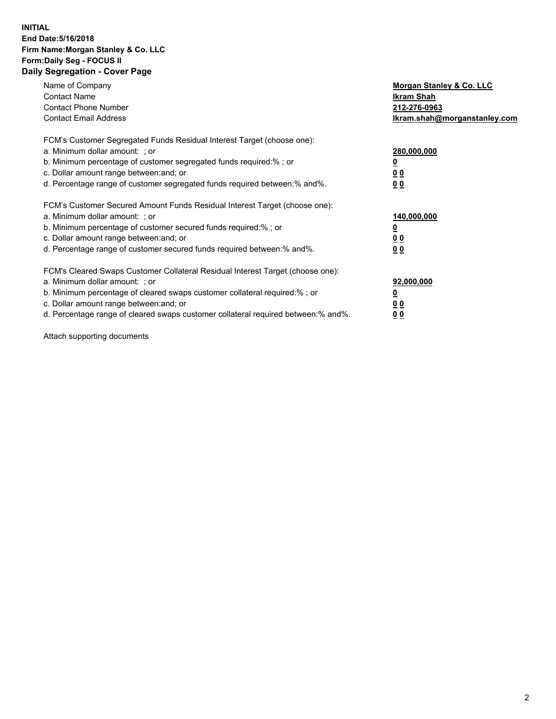#### **INITIAL End Date:5/16/2018 Firm Name:Morgan Stanley & Co. LLC Form:Daily Seg - FOCUS II Daily Segregation - Cover Page**

| Name of Company<br>Morgan Stanley & Co. LLC                                                   |  |
|-----------------------------------------------------------------------------------------------|--|
| <b>Contact Name</b><br>Ikram Shah                                                             |  |
| <b>Contact Phone Number</b><br>212-276-0963                                                   |  |
| <b>Contact Email Address</b><br>lkram.shah@morganstanley.com                                  |  |
| FCM's Customer Segregated Funds Residual Interest Target (choose one):                        |  |
| a. Minimum dollar amount: ; or<br>280,000,000                                                 |  |
| b. Minimum percentage of customer segregated funds required:%; or                             |  |
| c. Dollar amount range between: and; or<br>00                                                 |  |
| d. Percentage range of customer segregated funds required between: % and %.<br>0 <sub>0</sub> |  |
| FCM's Customer Secured Amount Funds Residual Interest Target (choose one):                    |  |
| a. Minimum dollar amount: ; or<br>140,000,000                                                 |  |
| b. Minimum percentage of customer secured funds required:%; or                                |  |
| c. Dollar amount range between: and; or<br>00                                                 |  |
| d. Percentage range of customer secured funds required between: % and %.<br>0 <sub>0</sub>    |  |
| FCM's Cleared Swaps Customer Collateral Residual Interest Target (choose one):                |  |
| a. Minimum dollar amount: ; or<br>92,000,000                                                  |  |
| b. Minimum percentage of cleared swaps customer collateral required:% ; or<br><u>0</u>        |  |
| c. Dollar amount range between: and; or<br><u>00</u>                                          |  |
| d. Percentage range of cleared swaps customer collateral required between:% and%.<br>00       |  |

Attach supporting documents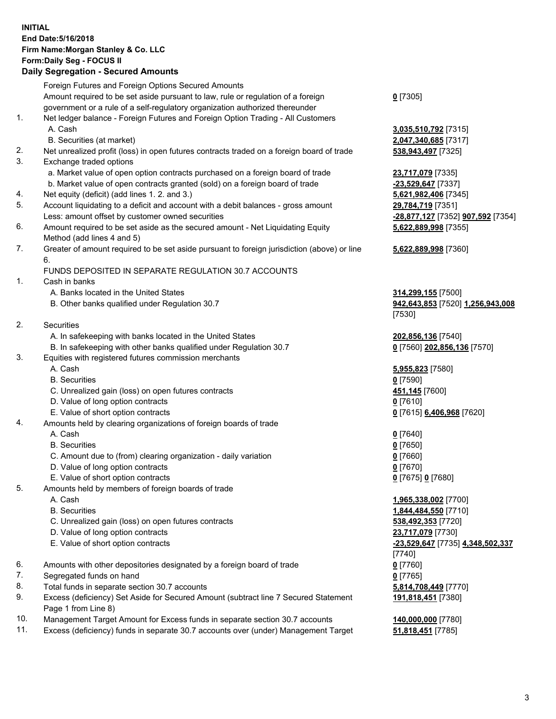## **INITIAL End Date:5/16/2018 Firm Name:Morgan Stanley & Co. LLC Form:Daily Seg - FOCUS II**

# **Daily Segregation - Secured Amounts**

|    | Daily Jegi egation - Jeculed Aniounts                                                       |                                   |
|----|---------------------------------------------------------------------------------------------|-----------------------------------|
|    | Foreign Futures and Foreign Options Secured Amounts                                         |                                   |
|    | Amount required to be set aside pursuant to law, rule or regulation of a foreign            | $0$ [7305]                        |
|    | government or a rule of a self-regulatory organization authorized thereunder                |                                   |
| 1. | Net ledger balance - Foreign Futures and Foreign Option Trading - All Customers             |                                   |
|    | A. Cash                                                                                     | 3,035,510,792 [7315]              |
|    | B. Securities (at market)                                                                   | 2,047,340,685 [7317]              |
| 2. | Net unrealized profit (loss) in open futures contracts traded on a foreign board of trade   | 538,943,497 [7325]                |
| 3. | Exchange traded options                                                                     |                                   |
|    | a. Market value of open option contracts purchased on a foreign board of trade              | 23,717,079 [7335]                 |
|    | b. Market value of open contracts granted (sold) on a foreign board of trade                | -23,529,647 [7337]                |
| 4. | Net equity (deficit) (add lines 1.2. and 3.)                                                | 5,621,982,406 [7345]              |
| 5. | Account liquidating to a deficit and account with a debit balances - gross amount           | 29,784,719 [7351]                 |
|    | Less: amount offset by customer owned securities                                            | -28,877,127 [7352] 907,592 [7354] |
| 6. | Amount required to be set aside as the secured amount - Net Liquidating Equity              | 5,622,889,998 [7355]              |
|    | Method (add lines 4 and 5)                                                                  |                                   |
| 7. | Greater of amount required to be set aside pursuant to foreign jurisdiction (above) or line | 5,622,889,998 [7360]              |
|    | 6.                                                                                          |                                   |
|    | FUNDS DEPOSITED IN SEPARATE REGULATION 30.7 ACCOUNTS                                        |                                   |
| 1. | Cash in banks                                                                               |                                   |
|    | A. Banks located in the United States                                                       | 314,299,155 [7500]                |
|    | B. Other banks qualified under Regulation 30.7                                              | 942,643,853 [7520] 1,256,943,008  |
|    |                                                                                             | [7530]                            |
| 2. | Securities                                                                                  |                                   |
|    | A. In safekeeping with banks located in the United States                                   | 202,856,136 [7540]                |
|    | B. In safekeeping with other banks qualified under Regulation 30.7                          | 0 [7560] 202,856,136 [7570]       |
| 3. | Equities with registered futures commission merchants                                       |                                   |
|    | A. Cash                                                                                     | 5,955,823 [7580]                  |
|    | <b>B.</b> Securities                                                                        | $0$ [7590]                        |
|    | C. Unrealized gain (loss) on open futures contracts                                         | 451,145 [7600]                    |
|    | D. Value of long option contracts                                                           | $0$ [7610]                        |
|    | E. Value of short option contracts                                                          | 0 [7615] 6,406,968 [7620]         |
| 4. | Amounts held by clearing organizations of foreign boards of trade                           |                                   |
|    | A. Cash                                                                                     | $0$ [7640]                        |
|    | <b>B.</b> Securities                                                                        | $0$ [7650]                        |
|    | C. Amount due to (from) clearing organization - daily variation                             | $0$ [7660]                        |
|    | D. Value of long option contracts                                                           | $0$ [7670]                        |
|    | E. Value of short option contracts                                                          | 0 [7675] 0 [7680]                 |
| 5. | Amounts held by members of foreign boards of trade                                          |                                   |
|    | A. Cash                                                                                     | 1,965,338,002 [7700]              |
|    | <b>B.</b> Securities                                                                        | 1,844,484,550 [7710]              |
|    | C. Unrealized gain (loss) on open futures contracts                                         | 538,492,353 [7720]                |
|    | D. Value of long option contracts                                                           | 23,717,079 [7730]                 |
|    | E. Value of short option contracts                                                          | -23,529,647 [7735] 4,348,502,337  |
|    |                                                                                             | $[7740]$                          |
| 6. | Amounts with other depositories designated by a foreign board of trade                      | $0$ [7760]                        |
| 7. | Segregated funds on hand                                                                    | $0$ [7765]                        |
| 8. | Total funds in separate section 30.7 accounts                                               | 5,814,708,449 [7770]              |
| 9. | Excess (deficiency) Set Aside for Secured Amount (subtract line 7 Secured Statement         | 191,818,451 [7380]                |
|    | Page 1 from Line 8)                                                                         |                                   |

- 10. Management Target Amount for Excess funds in separate section 30.7 accounts **140,000,000** [7780]
- 11. Excess (deficiency) funds in separate 30.7 accounts over (under) Management Target **51,818,451** [7785]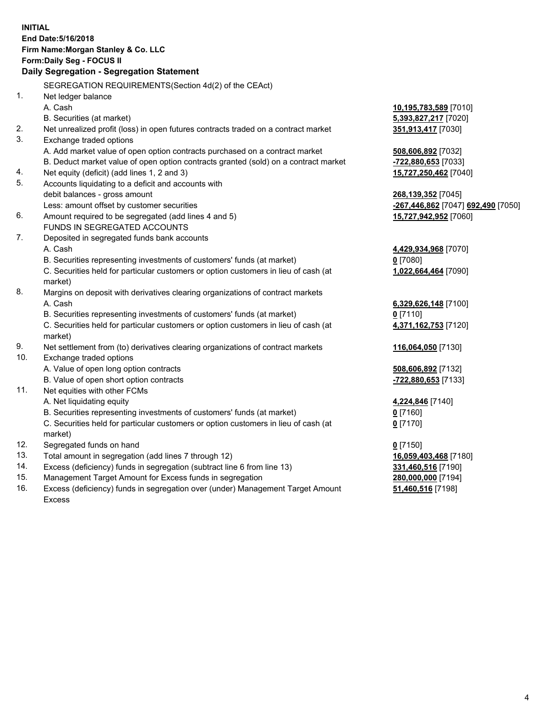## **INITIAL End Date:5/16/2018 Firm Name:Morgan Stanley & Co. LLC Form:Daily Seg - FOCUS II**

# **Daily Segregation - Segregation Statement**

|     | SEGREGATION REQUIREMENTS(Section 4d(2) of the CEAct)                                |                                    |
|-----|-------------------------------------------------------------------------------------|------------------------------------|
| 1.  | Net ledger balance                                                                  |                                    |
|     | A. Cash                                                                             | 10,195,783,589 [7010]              |
|     | B. Securities (at market)                                                           | 5,393,827,217 [7020]               |
| 2.  | Net unrealized profit (loss) in open futures contracts traded on a contract market  | 351,913,417 [7030]                 |
| 3.  | Exchange traded options                                                             |                                    |
|     | A. Add market value of open option contracts purchased on a contract market         | 508,606,892 [7032]                 |
|     | B. Deduct market value of open option contracts granted (sold) on a contract market | -722,880,653 [7033]                |
| 4.  | Net equity (deficit) (add lines 1, 2 and 3)                                         | 15,727,250,462 [7040]              |
| 5.  | Accounts liquidating to a deficit and accounts with                                 |                                    |
|     | debit balances - gross amount                                                       | 268,139,352 [7045]                 |
|     | Less: amount offset by customer securities                                          | -267,446,862 [7047] 692,490 [7050] |
| 6.  | Amount required to be segregated (add lines 4 and 5)                                | 15,727,942,952 [7060]              |
|     | FUNDS IN SEGREGATED ACCOUNTS                                                        |                                    |
| 7.  | Deposited in segregated funds bank accounts                                         |                                    |
|     | A. Cash                                                                             | 4,429,934,968 [7070]               |
|     | B. Securities representing investments of customers' funds (at market)              | $0$ [7080]                         |
|     | C. Securities held for particular customers or option customers in lieu of cash (at | 1,022,664,464 [7090]               |
|     | market)                                                                             |                                    |
| 8.  | Margins on deposit with derivatives clearing organizations of contract markets      |                                    |
|     | A. Cash                                                                             | 6,329,626,148 [7100]               |
|     | B. Securities representing investments of customers' funds (at market)              | $0$ [7110]                         |
|     | C. Securities held for particular customers or option customers in lieu of cash (at | 4,371,162,753 [7120]               |
|     | market)                                                                             |                                    |
| 9.  | Net settlement from (to) derivatives clearing organizations of contract markets     | 116,064,050 [7130]                 |
| 10. | Exchange traded options                                                             |                                    |
|     | A. Value of open long option contracts                                              | 508,606,892 [7132]                 |
|     | B. Value of open short option contracts                                             | -722,880,653 [7133]                |
| 11. | Net equities with other FCMs                                                        |                                    |
|     | A. Net liquidating equity                                                           | 4,224,846 [7140]                   |
|     | B. Securities representing investments of customers' funds (at market)              | $0$ [7160]                         |
|     | C. Securities held for particular customers or option customers in lieu of cash (at | $0$ [7170]                         |
|     | market)                                                                             |                                    |
| 12. | Segregated funds on hand                                                            | $0$ [7150]                         |
| 13. | Total amount in segregation (add lines 7 through 12)                                | 16,059,403,468 [7180]              |
| 14. | Excess (deficiency) funds in segregation (subtract line 6 from line 13)             | 331,460,516 [7190]                 |
| 15. | Management Target Amount for Excess funds in segregation                            | 280,000,000 [7194]                 |
| 16. | Excess (deficiency) funds in segregation over (under) Management Target Amount      | 51,460,516 [7198]                  |

16. Excess (deficiency) funds in segregation over (under) Management Target Amount Excess